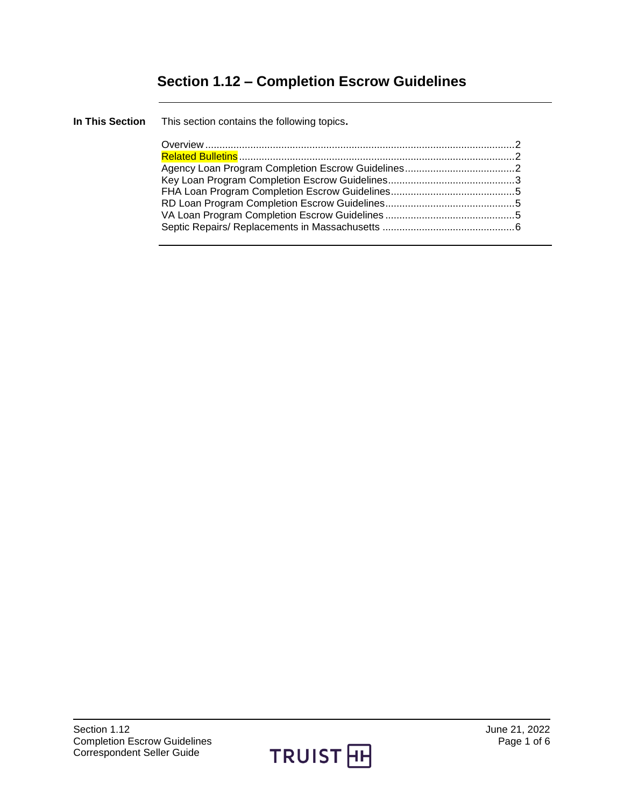# **Section 1.12 – Completion Escrow Guidelines**

| In This Section This section contains the following topics. |  |
|-------------------------------------------------------------|--|
|                                                             |  |
|                                                             |  |
|                                                             |  |
|                                                             |  |
|                                                             |  |
|                                                             |  |
|                                                             |  |
|                                                             |  |
|                                                             |  |

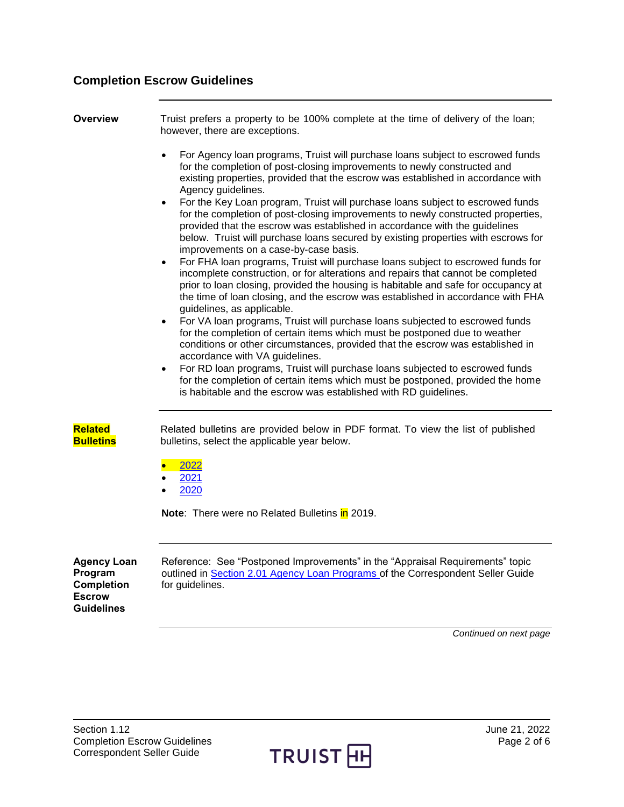# **Completion Escrow Guidelines**

<span id="page-1-0"></span>

| Overview                                                                          | Truist prefers a property to be 100% complete at the time of delivery of the loan;<br>however, there are exceptions.                                                                                                                                                                                                                                                                    |  |  |
|-----------------------------------------------------------------------------------|-----------------------------------------------------------------------------------------------------------------------------------------------------------------------------------------------------------------------------------------------------------------------------------------------------------------------------------------------------------------------------------------|--|--|
|                                                                                   | For Agency loan programs, Truist will purchase loans subject to escrowed funds<br>$\bullet$<br>for the completion of post-closing improvements to newly constructed and<br>existing properties, provided that the escrow was established in accordance with<br>Agency guidelines.<br>For the Key Loan program, Truist will purchase loans subject to escrowed funds<br>$\bullet$        |  |  |
|                                                                                   | for the completion of post-closing improvements to newly constructed properties,<br>provided that the escrow was established in accordance with the guidelines<br>below. Truist will purchase loans secured by existing properties with escrows for<br>improvements on a case-by-case basis.                                                                                            |  |  |
|                                                                                   | For FHA loan programs, Truist will purchase loans subject to escrowed funds for<br>$\bullet$<br>incomplete construction, or for alterations and repairs that cannot be completed<br>prior to loan closing, provided the housing is habitable and safe for occupancy at<br>the time of loan closing, and the escrow was established in accordance with FHA<br>guidelines, as applicable. |  |  |
|                                                                                   | For VA loan programs, Truist will purchase loans subjected to escrowed funds<br>$\bullet$<br>for the completion of certain items which must be postponed due to weather<br>conditions or other circumstances, provided that the escrow was established in<br>accordance with VA guidelines.                                                                                             |  |  |
|                                                                                   | For RD loan programs, Truist will purchase loans subjected to escrowed funds<br>$\bullet$<br>for the completion of certain items which must be postponed, provided the home<br>is habitable and the escrow was established with RD guidelines.                                                                                                                                          |  |  |
| <b>Related</b><br><b>Bulletins</b>                                                | Related bulletins are provided below in PDF format. To view the list of published<br>bulletins, select the applicable year below.                                                                                                                                                                                                                                                       |  |  |
|                                                                                   | 2022<br>$\bullet$<br>2021<br>2020                                                                                                                                                                                                                                                                                                                                                       |  |  |
|                                                                                   | Note: There were no Related Bulletins in 2019.                                                                                                                                                                                                                                                                                                                                          |  |  |
| <b>Agency Loan</b><br>Program<br><b>Completion</b><br><b>Escrow</b><br>Guidelines | Reference: See "Postponed Improvements" in the "Appraisal Requirements" topic<br>outlined in Section 2.01 Agency Loan Programs of the Correspondent Seller Guide<br>for guidelines.                                                                                                                                                                                                     |  |  |

*Continued on next page*

<span id="page-1-2"></span><span id="page-1-1"></span>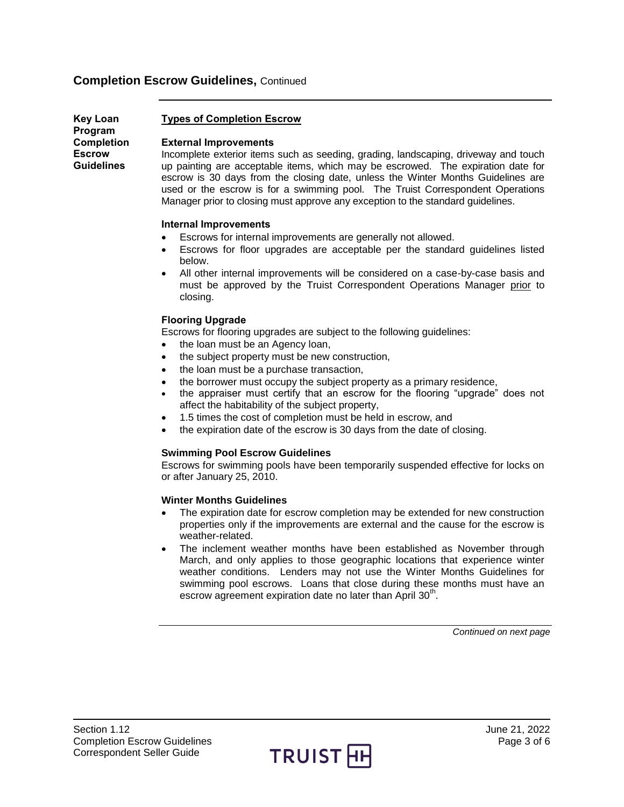<span id="page-2-0"></span>

| Key Loan          |
|-------------------|
| Program           |
| <b>Completion</b> |
| Escrow            |
| Guidelines        |

## **Types of Completion Escrow**

## **External Improvements**

Incomplete exterior items such as seeding, grading, landscaping, driveway and touch up painting are acceptable items, which may be escrowed. The expiration date for escrow is 30 days from the closing date, unless the Winter Months Guidelines are used or the escrow is for a swimming pool. The Truist Correspondent Operations Manager prior to closing must approve any exception to the standard guidelines.

## **Internal Improvements**

- Escrows for internal improvements are generally not allowed.
- Escrows for floor upgrades are acceptable per the standard guidelines listed below.
- All other internal improvements will be considered on a case-by-case basis and must be approved by the Truist Correspondent Operations Manager prior to closing.

## **Flooring Upgrade**

Escrows for flooring upgrades are subject to the following guidelines:

- the loan must be an Agency loan,
- the subject property must be new construction,
- the loan must be a purchase transaction,
- the borrower must occupy the subject property as a primary residence,
- the appraiser must certify that an escrow for the flooring "upgrade" does not affect the habitability of the subject property,
- 1.5 times the cost of completion must be held in escrow, and
- the expiration date of the escrow is 30 days from the date of closing.

## **Swimming Pool Escrow Guidelines**

Escrows for swimming pools have been temporarily suspended effective for locks on or after January 25, 2010.

#### **Winter Months Guidelines**

- The expiration date for escrow completion may be extended for new construction properties only if the improvements are external and the cause for the escrow is weather-related.
- The inclement weather months have been established as November through March, and only applies to those geographic locations that experience winter weather conditions. Lenders may not use the Winter Months Guidelines for swimming pool escrows. Loans that close during these months must have an escrow agreement expiration date no later than April  $30<sup>th</sup>$ .

*Continued on next page*

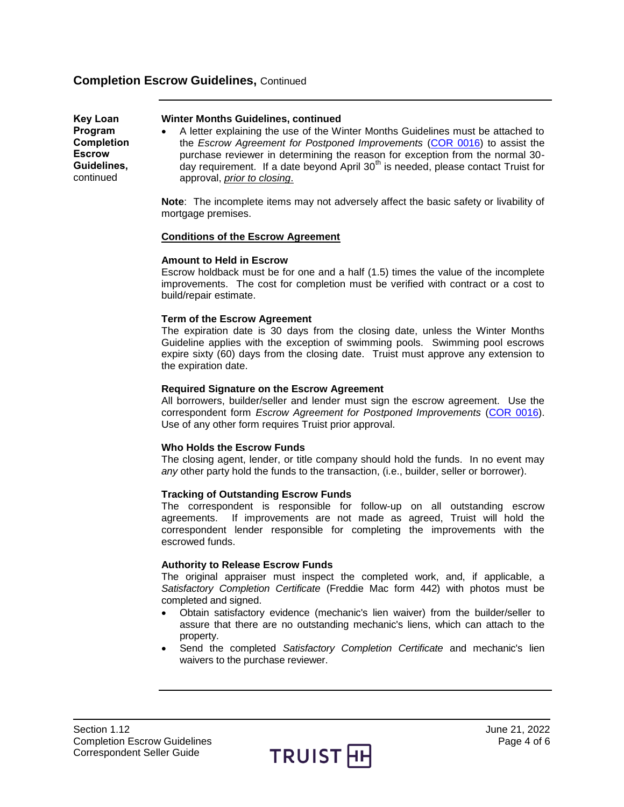**Key Loan Program Completion Escrow Guidelines,**  continued

- **Winter Months Guidelines, continued**
- A letter explaining the use of the Winter Months Guidelines must be attached to the *Escrow Agreement for Postponed Improvements* [\(COR 0016\)](https://truistsellerguide.com/manual/cor/forms/cor0016.pdf) to assist the purchase reviewer in determining the reason for exception from the normal 30 day requirement. If a date beyond April 30<sup>th</sup> is needed, please contact Truist for approval, *prior to closing*.

**Note**: The incomplete items may not adversely affect the basic safety or livability of mortgage premises.

#### **Conditions of the Escrow Agreement**

## **Amount to Held in Escrow**

Escrow holdback must be for one and a half (1.5) times the value of the incomplete improvements. The cost for completion must be verified with contract or a cost to build/repair estimate.

## **Term of the Escrow Agreement**

The expiration date is 30 days from the closing date, unless the Winter Months Guideline applies with the exception of swimming pools. Swimming pool escrows expire sixty (60) days from the closing date. Truist must approve any extension to the expiration date.

## **Required Signature on the Escrow Agreement**

All borrowers, builder/seller and lender must sign the escrow agreement. Use the correspondent form *Escrow Agreement for Postponed Improvements* [\(COR 0016\)](https://truistsellerguide.com/manual/cor/forms/cor0016.pdf). Use of any other form requires Truist prior approval.

## **Who Holds the Escrow Funds**

The closing agent, lender, or title company should hold the funds. In no event may *any* other party hold the funds to the transaction, (i.e., builder, seller or borrower).

#### **Tracking of Outstanding Escrow Funds**

The correspondent is responsible for follow-up on all outstanding escrow agreements. If improvements are not made as agreed, Truist will hold the correspondent lender responsible for completing the improvements with the escrowed funds.

#### **Authority to Release Escrow Funds**

The original appraiser must inspect the completed work, and, if applicable, a *Satisfactory Completion Certificate* (Freddie Mac form 442) with photos must be completed and signed.

- Obtain satisfactory evidence (mechanic's lien waiver) from the builder/seller to assure that there are no outstanding mechanic's liens, which can attach to the property.
- Send the completed *Satisfactory Completion Certificate* and mechanic's lien waivers to the purchase reviewer.

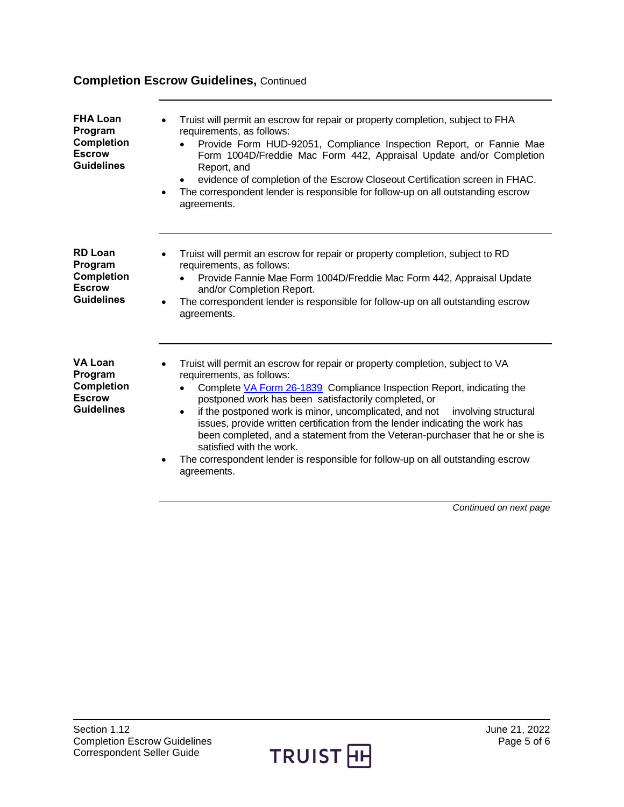<span id="page-4-2"></span><span id="page-4-1"></span><span id="page-4-0"></span>

| <b>FHA Loan</b><br>Program<br><b>Completion</b><br><b>Escrow</b><br><b>Guidelines</b> | Truist will permit an escrow for repair or property completion, subject to FHA<br>requirements, as follows:<br>Provide Form HUD-92051, Compliance Inspection Report, or Fannie Mae<br>Form 1004D/Freddie Mac Form 442, Appraisal Update and/or Completion<br>Report, and<br>evidence of completion of the Escrow Closeout Certification screen in FHAC.<br>$\bullet$<br>The correspondent lender is responsible for follow-up on all outstanding escrow<br>agreements.                                                                                                                                                                 |  |
|---------------------------------------------------------------------------------------|----------------------------------------------------------------------------------------------------------------------------------------------------------------------------------------------------------------------------------------------------------------------------------------------------------------------------------------------------------------------------------------------------------------------------------------------------------------------------------------------------------------------------------------------------------------------------------------------------------------------------------------|--|
| <b>RD Loan</b><br>Program<br><b>Completion</b><br><b>Escrow</b><br><b>Guidelines</b>  | Truist will permit an escrow for repair or property completion, subject to RD<br>requirements, as follows:<br>Provide Fannie Mae Form 1004D/Freddie Mac Form 442, Appraisal Update<br>and/or Completion Report.<br>The correspondent lender is responsible for follow-up on all outstanding escrow<br>$\bullet$<br>agreements.                                                                                                                                                                                                                                                                                                         |  |
| <b>VA Loan</b><br>Program<br><b>Completion</b><br><b>Escrow</b><br><b>Guidelines</b>  | Truist will permit an escrow for repair or property completion, subject to VA<br>requirements, as follows:<br>Complete VA Form 26-1839 Compliance Inspection Report, indicating the<br>postponed work has been satisfactorily completed, or<br>if the postponed work is minor, uncomplicated, and not involving structural<br>$\bullet$<br>issues, provide written certification from the lender indicating the work has<br>been completed, and a statement from the Veteran-purchaser that he or she is<br>satisfied with the work.<br>The correspondent lender is responsible for follow-up on all outstanding escrow<br>agreements. |  |

*Continued on next page*